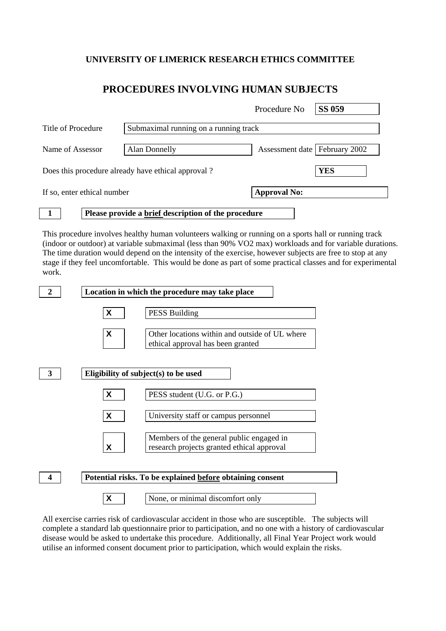## **UNIVERSITY OF LIMERICK RESEARCH ETHICS COMMITTEE**

## **PROCEDURES INVOLVING HUMAN SUBJECTS**

|                                                    |                                                     | Procedure No                    | <b>SS 059</b> |
|----------------------------------------------------|-----------------------------------------------------|---------------------------------|---------------|
| Title of Procedure                                 | Submaximal running on a running track               |                                 |               |
| Name of Assessor                                   | <b>Alan Donnelly</b>                                | Assessment date   February 2002 |               |
| Does this procedure already have ethical approval? |                                                     |                                 | <b>YES</b>    |
| If so, enter ethical number                        |                                                     | <b>Approval No:</b>             |               |
|                                                    | Please provide a brief description of the procedure |                                 |               |

This procedure involves healthy human volunteers walking or running on a sports hall or running track (indoor or outdoor) at variable submaximal (less than 90% VO2 max) workloads and for variable durations. The time duration would depend on the intensity of the exercise, however subjects are free to stop at any stage if they feel uncomfortable. This would be done as part of some practical classes and for experimental work.



All exercise carries risk of cardiovascular accident in those who are susceptible. The subjects will complete a standard lab questionnaire prior to participation, and no one with a history of cardiovascular disease would be asked to undertake this procedure. Additionally, all Final Year Project work would utilise an informed consent document prior to participation, which would explain the risks.